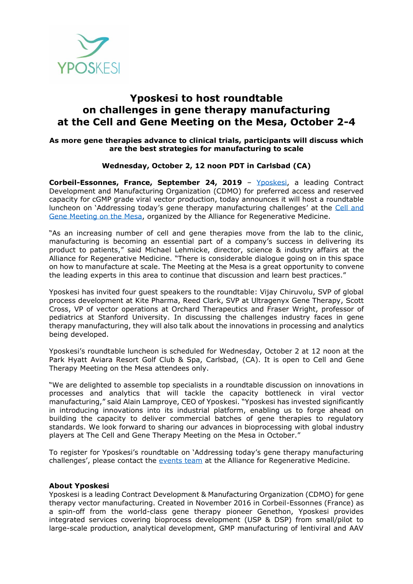

## **Yposkesi to host roundtable on challenges in gene therapy manufacturing at the Cell and Gene Meeting on the Mesa, October 2-4**

## **As more gene therapies advance to clinical trials, participants will discuss which are the best strategies for manufacturing to scale**

## **Wednesday, October 2, 12 noon PDT in Carlsbad (CA)**

**Corbeil-Essonnes, France, September 24, 2019** - [Yposkesi,](https://www.yposkesi.com/) a leading Contract Development and Manufacturing Organization (CDMO) for preferred access and reserved capacity for cGMP grade viral vector production, today announces it will host a roundtable luncheon on 'Addressing today's gene therapy manufacturing challenges' at the [Cell and](https://www.meetingonthemesa.com/)  [Gene Meeting on the Mesa,](https://www.meetingonthemesa.com/) organized by the Alliance for Regenerative Medicine.

"As an increasing number of cell and gene therapies move from the lab to the clinic, manufacturing is becoming an essential part of a company's success in delivering its product to patients," said Michael Lehmicke, director, science & industry affairs at the Alliance for Regenerative Medicine. "There is considerable dialogue going on in this space on how to manufacture at scale. The Meeting at the Mesa is a great opportunity to convene the leading experts in this area to continue that discussion and learn best practices."

Yposkesi has invited four guest speakers to the roundtable: Vijay Chiruvolu, SVP of global process development at Kite Pharma, Reed Clark, SVP at Ultragenyx Gene Therapy, Scott Cross, VP of vector operations at Orchard Therapeutics and Fraser Wright, professor of pediatrics at Stanford University. In discussing the challenges industry faces in gene therapy manufacturing, they will also talk about the innovations in processing and analytics being developed.

Yposkesi's roundtable luncheon is scheduled for Wednesday, October 2 at 12 noon at the Park Hyatt Aviara Resort Golf Club & Spa, Carlsbad, (CA). It is open to Cell and Gene Therapy Meeting on the Mesa attendees only.

"We are delighted to assemble top specialists in a roundtable discussion on innovations in processes and analytics that will tackle the capacity bottleneck in viral vector manufacturing," said Alain Lamproye, CEO of Yposkesi. "Yposkesi has invested significantly in introducing innovations into its industrial platform, enabling us to forge ahead on building the capacity to deliver commercial batches of gene therapies to regulatory standards. We look forward to sharing our advances in bioprocessing with global industry players at The Cell and Gene Therapy Meeting on the Mesa in October."

To register for Yposkesi's roundtable on 'Addressing today's gene therapy manufacturing challenges', please contact the [events team](mailto:lparsons@alliancerm.org) at the Alliance for Regenerative Medicine.

## **About Yposkesi**

Yposkesi is a leading Contract Development & Manufacturing Organization (CDMO) for gene therapy vector manufacturing. Created in November 2016 in Corbeil-Essonnes (France) as a spin-off from the world-class gene therapy pioneer Genethon, Yposkesi provides integrated services covering bioprocess development (USP & DSP) from small/pilot to large-scale production, analytical development, GMP manufacturing of lentiviral and AAV